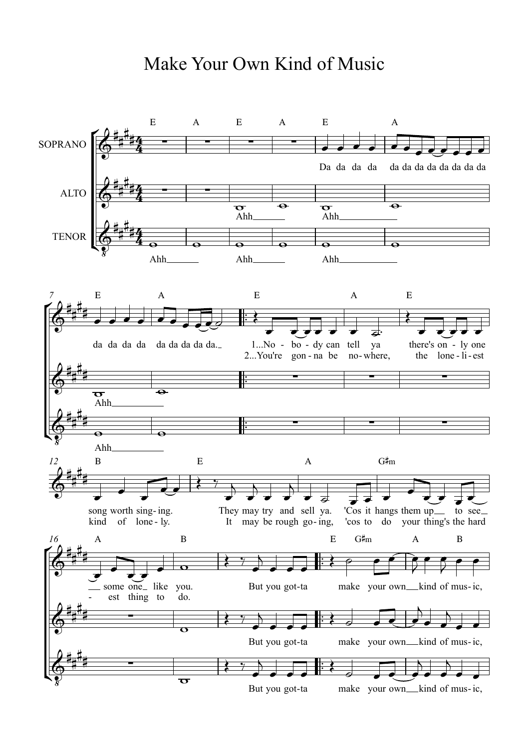## Make Your Own Kind of Music

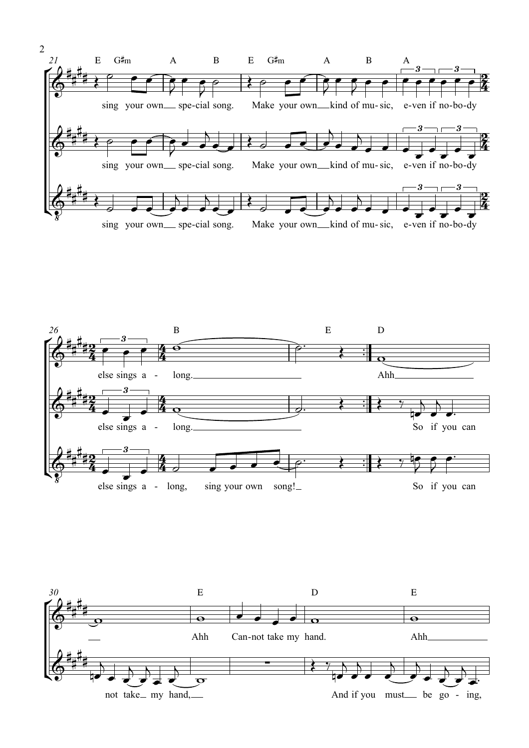